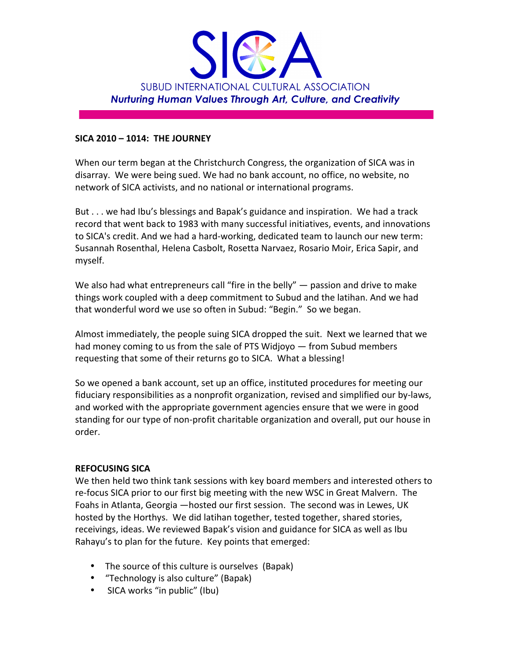

## **SICA%2010 –%1014:%%THE%JOURNEY**

When our term began at the Christchurch Congress, the organization of SICA was in disarray. We were being sued. We had no bank account, no office, no website, no network of SICA activists, and no national or international programs.

But . . . we had Ibu's blessings and Bapak's guidance and inspiration. We had a track record that went back to 1983 with many successful initiatives, events, and innovations to SICA's credit. And we had a hard-working, dedicated team to launch our new term: Susannah Rosenthal, Helena Casbolt, Rosetta Narvaez, Rosario Moir, Erica Sapir, and myself.

We also had what entrepreneurs call "fire in the belly"  $-$  passion and drive to make things work coupled with a deep commitment to Subud and the latihan. And we had that wonderful word we use so often in Subud: "Begin." So we began.

Almost immediately, the people suing SICA dropped the suit. Next we learned that we had money coming to us from the sale of PTS Widjoyo — from Subud members requesting that some of their returns go to SICA. What a blessing!

So we opened a bank account, set up an office, instituted procedures for meeting our fiduciary responsibilities as a nonprofit organization, revised and simplified our by-laws, and worked with the appropriate government agencies ensure that we were in good standing for our type of non-profit charitable organization and overall, put our house in order.

# **REFOCUSING SICA**

We then held two think tank sessions with key board members and interested others to re-focus SICA prior to our first big meeting with the new WSC in Great Malvern. The Foahs in Atlanta, Georgia —hosted our first session. The second was in Lewes, UK hosted by the Horthys. We did latihan together, tested together, shared stories, receivings, ideas. We reviewed Bapak's vision and guidance for SICA as well as Ibu Rahayu's to plan for the future. Key points that emerged:

- The source of this culture is ourselves (Bapak)
- "Technology is also culture" (Bapak)
- SICA works "in public" (Ibu)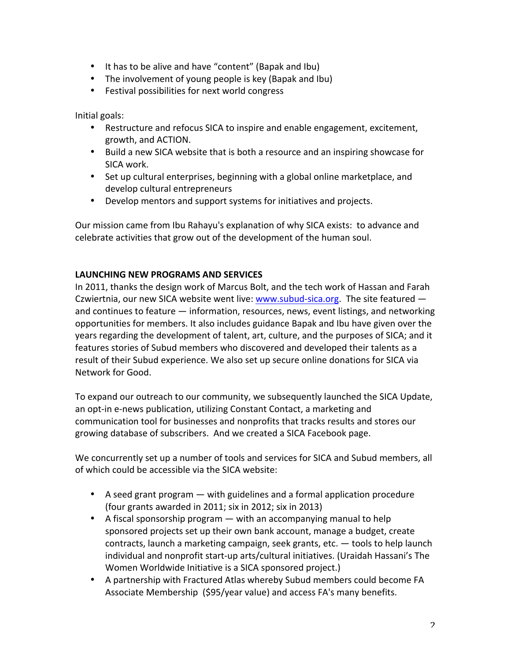- It has to be alive and have "content" (Bapak and Ibu)
- The involvement of young people is key (Bapak and Ibu)
- Festival possibilities for next world congress

Initial goals:

- Restructure and refocus SICA to inspire and enable engagement, excitement, growth,!and!ACTION.
- Build a new SICA website that is both a resource and an inspiring showcase for SICA work.
- Set up cultural enterprises, beginning with a global online marketplace, and develop cultural entrepreneurs
- Develop mentors and support systems for initiatives and projects.

Our mission came from Ibu Rahayu's explanation of why SICA exists: to advance and celebrate activities that grow out of the development of the human soul.

## **LAUNCHING NEW PROGRAMS AND SERVICES**

In 2011, thanks the design work of Marcus Bolt, and the tech work of Hassan and Farah Czwiertnia, our new SICA website went live: www.subud-sica.org. The site featured  $$ and continues to feature — information, resources, news, event listings, and networking opportunities for members. It also includes guidance Bapak and Ibu have given over the years regarding the development of talent, art, culture, and the purposes of SICA; and it features stories of Subud members who discovered and developed their talents as a result of their Subud experience. We also set up secure online donations for SICA via Network for Good.

To expand our outreach to our community, we subsequently launched the SICA Update, an opt-in e-news publication, utilizing Constant Contact, a marketing and communication tool for businesses and nonprofits that tracks results and stores our growing database of subscribers. And we created a SICA Facebook page.

We concurrently set up a number of tools and services for SICA and Subud members, all of which could be accessible via the SICA website:

- A seed grant program  $-$  with guidelines and a formal application procedure (four grants awarded in 2011; six in 2012; six in 2013)
- A fiscal sponsorship program  $-$  with an accompanying manual to help sponsored projects set up their own bank account, manage a budget, create contracts, launch a marketing campaign, seek grants, etc.  $-$  tools to help launch individual and nonprofit start-up arts/cultural initiatives. (Uraidah Hassani's The Women Worldwide Initiative is a SICA sponsored project.)
- A partnership with Fractured Atlas whereby Subud members could become FA Associate Membership (\$95/year value) and access FA's many benefits.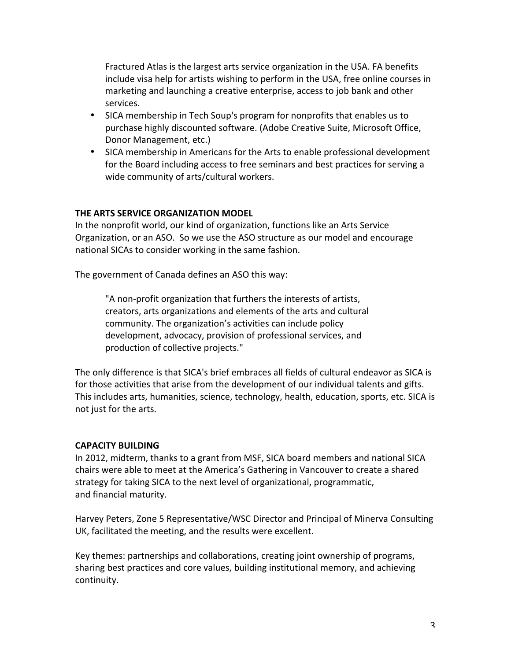Fractured Atlas is the largest arts service organization in the USA. FA benefits include visa help for artists wishing to perform in the USA, free online courses in marketing and launching a creative enterprise, access to job bank and other services.

- SICA membership in Tech Soup's program for nonprofits that enables us to purchase highly discounted software. (Adobe Creative Suite, Microsoft Office, Donor Management, etc.)
- SICA membership in Americans for the Arts to enable professional development for the Board including access to free seminars and best practices for serving a wide community of arts/cultural workers.

## **THE ARTS SERVICE ORGANIZATION MODEL**

In the nonprofit world, our kind of organization, functions like an Arts Service Organization, or an ASO. So we use the ASO structure as our model and encourage national SICAs to consider working in the same fashion.

The government of Canada defines an ASO this way:

"A non-profit organization that furthers the interests of artists, creators, arts organizations and elements of the arts and cultural community. The organization's activities can include policy development, advocacy, provision of professional services, and production of collective projects."

The only difference is that SICA's brief embraces all fields of cultural endeavor as SICA is for those activities that arise from the development of our individual talents and gifts. This includes arts, humanities, science, technology, health, education, sports, etc. SICA is not just for the arts.

# **CAPACITY%BUILDING**

In 2012, midterm, thanks to a grant from MSF, SICA board members and national SICA chairs were able to meet at the America's Gathering in Vancouver to create a shared strategy for taking SICA to the next level of organizational, programmatic, and financial maturity.

Harvey Peters, Zone 5 Representative/WSC Director and Principal of Minerva Consulting UK, facilitated the meeting, and the results were excellent.

Key themes: partnerships and collaborations, creating joint ownership of programs, sharing best practices and core values, building institutional memory, and achieving continuity.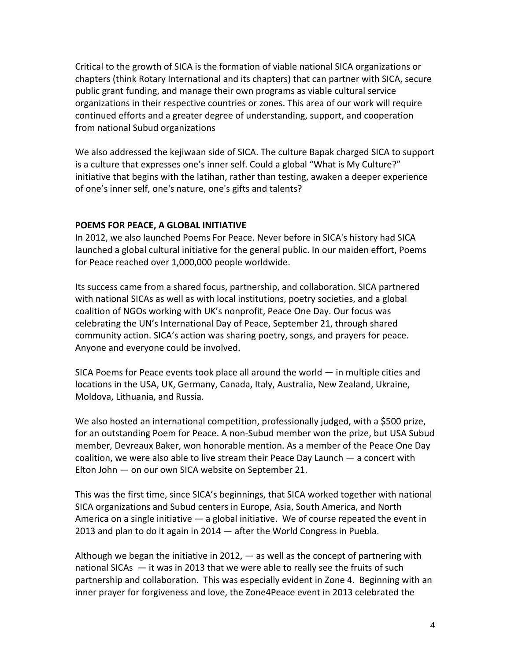Critical to the growth of SICA is the formation of viable national SICA organizations or chapters (think Rotary International and its chapters) that can partner with SICA, secure public grant funding, and manage their own programs as viable cultural service organizations in their respective countries or zones. This area of our work will require continued efforts and a greater degree of understanding, support, and cooperation from national Subud organizations

We also addressed the kejiwaan side of SICA. The culture Bapak charged SICA to support is a culture that expresses one's inner self. Could a global "What is My Culture?" initiative that begins with the latihan, rather than testing, awaken a deeper experience of one's inner self, one's nature, one's gifts and talents?

#### **POEMS FOR PEACE, A GLOBAL INITIATIVE**

In 2012, we also launched Poems For Peace. Never before in SICA's history had SICA launched a global cultural initiative for the general public. In our maiden effort, Poems for Peace reached over 1,000,000 people worldwide.

Its success came from a shared focus, partnership, and collaboration. SICA partnered with national SICAs as well as with local institutions, poetry societies, and a global coalition of NGOs working with UK's nonprofit, Peace One Day. Our focus was celebrating the UN's International Day of Peace, September 21, through shared community action. SICA's action was sharing poetry, songs, and prayers for peace. Anyone and everyone could be involved.

SICA Poems for Peace events took place all around the world  $-$  in multiple cities and locations in the USA, UK, Germany, Canada, Italy, Australia, New Zealand, Ukraine, Moldova, Lithuania, and Russia.

We also hosted an international competition, professionally judged, with a \$500 prize, for an outstanding Poem for Peace. A non-Subud member won the prize, but USA Subud member, Devreaux Baker, won honorable mention. As a member of the Peace One Day coalition, we were also able to live stream their Peace Day Launch  $-$  a concert with Elton John  $-$  on our own SICA website on September 21.

This was the first time, since SICA's beginnings, that SICA worked together with national SICA organizations and Subud centers in Europe, Asia, South America, and North America on a single initiative  $-$  a global initiative. We of course repeated the event in 2013 and plan to do it again in 2014  $-$  after the World Congress in Puebla.

Although we began the initiative in 2012,  $-$  as well as the concept of partnering with national SICAs  $-$  it was in 2013 that we were able to really see the fruits of such partnership and collaboration. This was especially evident in Zone 4. Beginning with an inner prayer for forgiveness and love, the Zone4Peace event in 2013 celebrated the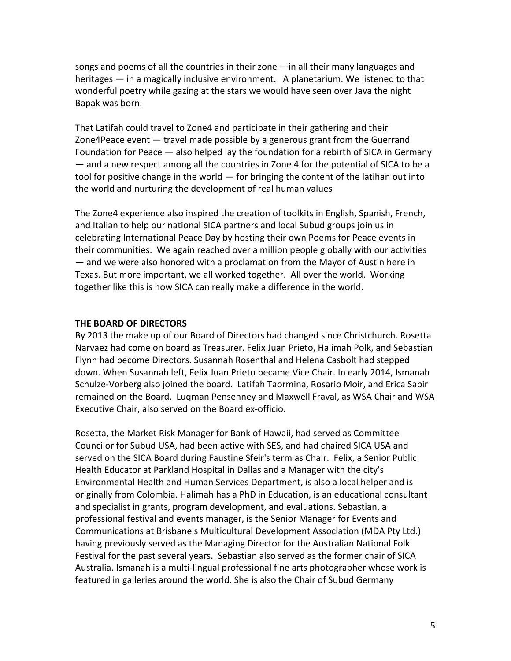songs and poems of all the countries in their zone  $-\text{in}$  all their many languages and heritages — in a magically inclusive environment. A planetarium. We listened to that wonderful poetry while gazing at the stars we would have seen over Java the night Bapak was born.

That Latifah could travel to Zone4 and participate in their gathering and their Zone4Peace event  $-$  travel made possible by a generous grant from the Guerrand Foundation for Peace  $-$  also helped lay the foundation for a rebirth of SICA in Germany — and a new respect among all the countries in Zone 4 for the potential of SICA to be a tool for positive change in the world — for bringing the content of the latihan out into the world and nurturing the development of real human values

The Zone4 experience also inspired the creation of toolkits in English, Spanish, French, and Italian to help our national SICA partners and local Subud groups join us in celebrating International Peace Day by hosting their own Poems for Peace events in their communities. We again reached over a million people globally with our activities  $-$  and we were also honored with a proclamation from the Mayor of Austin here in Texas. But more important, we all worked together. All over the world. Working together like this is how SICA can really make a difference in the world.

#### **THE BOARD OF DIRECTORS**

By 2013 the make up of our Board of Directors had changed since Christchurch. Rosetta Narvaez had come on board as Treasurer. Felix Juan Prieto, Halimah Polk, and Sebastian Flynn had become Directors. Susannah Rosenthal and Helena Casbolt had stepped down. When Susannah left, Felix Juan Prieto became Vice Chair. In early 2014, Ismanah Schulze-Vorberg also joined the board. Latifah Taormina, Rosario Moir, and Erica Sapir remained on the Board. Lugman Pensenney and Maxwell Fraval, as WSA Chair and WSA Executive Chair, also served on the Board ex-officio.

Rosetta, the Market Risk Manager for Bank of Hawaii, had served as Committee Councilor for Subud USA, had been active with SES, and had chaired SICA USA and served on the SICA Board during Faustine Sfeir's term as Chair. Felix, a Senior Public Health Educator at Parkland Hospital in Dallas and a Manager with the city's Environmental Health and Human Services Department, is also a local helper and is originally from Colombia. Halimah has a PhD in Education, is an educational consultant and specialist in grants, program development, and evaluations. Sebastian, a professional festival and events manager, is the Senior Manager for Events and Communications at Brisbane's Multicultural Development Association (MDA Pty Ltd.) having previously served as the Managing Director for the Australian National Folk Festival for the past several years. Sebastian also served as the former chair of SICA Australia. Ismanah is a multi-lingual professional fine arts photographer whose work is featured in galleries around the world. She is also the Chair of Subud Germany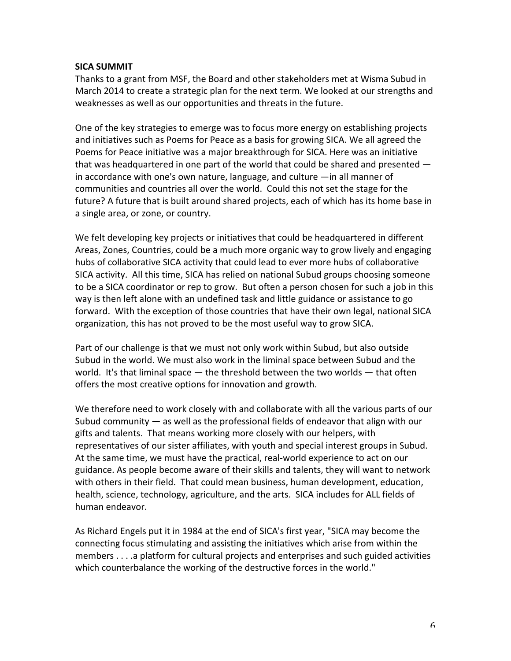## **SICA SUMMIT**

Thanks to a grant from MSF, the Board and other stakeholders met at Wisma Subud in March 2014 to create a strategic plan for the next term. We looked at our strengths and weaknesses as well as our opportunities and threats in the future.

One of the key strategies to emerge was to focus more energy on establishing projects and initiatives such as Poems for Peace as a basis for growing SICA. We all agreed the Poems for Peace initiative was a major breakthrough for SICA. Here was an initiative that was headquartered in one part of the world that could be shared and presented  $$ in accordance with one's own nature, language, and culture  $-\text{in}$  all manner of communities and countries all over the world. Could this not set the stage for the future? A future that is built around shared projects, each of which has its home base in a single area, or zone, or country.

We felt developing key projects or initiatives that could be headquartered in different Areas, Zones, Countries, could be a much more organic way to grow lively and engaging hubs of collaborative SICA activity that could lead to ever more hubs of collaborative SICA activity. All this time, SICA has relied on national Subud groups choosing someone to be a SICA coordinator or rep to grow. But often a person chosen for such a job in this way is then left alone with an undefined task and little guidance or assistance to go forward. With the exception of those countries that have their own legal, national SICA organization, this has not proved to be the most useful way to grow SICA.

Part of our challenge is that we must not only work within Subud, but also outside Subud in the world. We must also work in the liminal space between Subud and the world. It's that liminal space  $-$  the threshold between the two worlds  $-$  that often offers the most creative options for innovation and growth.

We therefore need to work closely with and collaborate with all the various parts of our Subud community  $-$  as well as the professional fields of endeavor that align with our gifts and talents. That means working more closely with our helpers, with representatives of our sister affiliates, with youth and special interest groups in Subud. At the same time, we must have the practical, real-world experience to act on our guidance. As people become aware of their skills and talents, they will want to network with others in their field. That could mean business, human development, education, health, science, technology, agriculture, and the arts. SICA includes for ALL fields of human endeavor.

As Richard Engels put it in 1984 at the end of SICA's first year, "SICA may become the connecting focus stimulating and assisting the initiatives which arise from within the members . . . .a platform for cultural projects and enterprises and such guided activities which counterbalance the working of the destructive forces in the world."